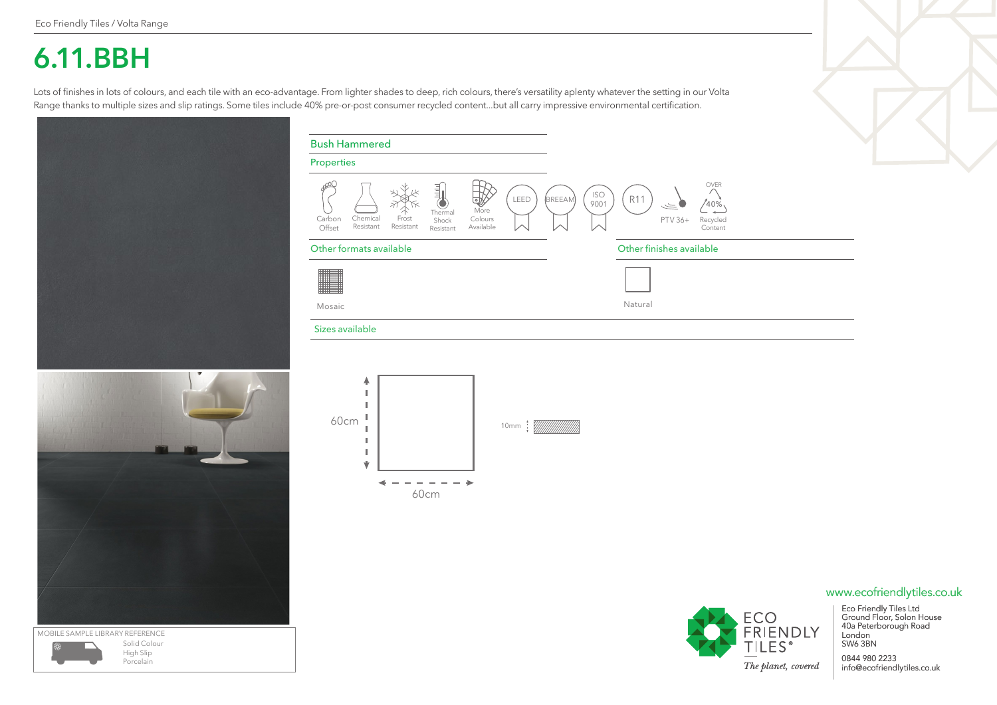## **6.11.BBH**

Lots of finishes in lots of colours, and each tile with an eco-advantage. From lighter shades to deep, rich colours, there's versatility aplenty whatever the setting in our Volta Range thanks to multiple sizes and slip ratings. Some tiles include 40% pre-or-post consumer recycled content...but all carry impressive environmental certification.





| <b>Bush Hammered</b>                                                                                                                                                    |                                                                                               |
|-------------------------------------------------------------------------------------------------------------------------------------------------------------------------|-----------------------------------------------------------------------------------------------|
| Properties                                                                                                                                                              |                                                                                               |
| O <sup>O<br/>LEED<br/>More<br/>Thermal<br/>Chemical<br/>Colours<br/>Frost<br/>Carbon<br/>Shock<br/>Resistant<br/>Resistant<br/>Available<br/>Offset<br/>Resistant</sup> | OVER<br><b>ISO</b><br><b>R11</b><br>(BREEAM)<br>9001<br>40%<br>Recycled<br>PTV 36+<br>Content |
| Other formats available                                                                                                                                                 | Other finishes available                                                                      |
| Mosaic                                                                                                                                                                  | Natural                                                                                       |
| Sizes available                                                                                                                                                         |                                                                                               |
| ۸<br>60cm<br>10mm W///////<br>v<br>60cm                                                                                                                                 |                                                                                               |



Eco Friendly Tiles Ltd Ground Floor, Solon House 40a Peterborough Road London

0844 980 2233 info@ecofriendlytiles.co.uk

## www.ecofriendlytiles.co.uk